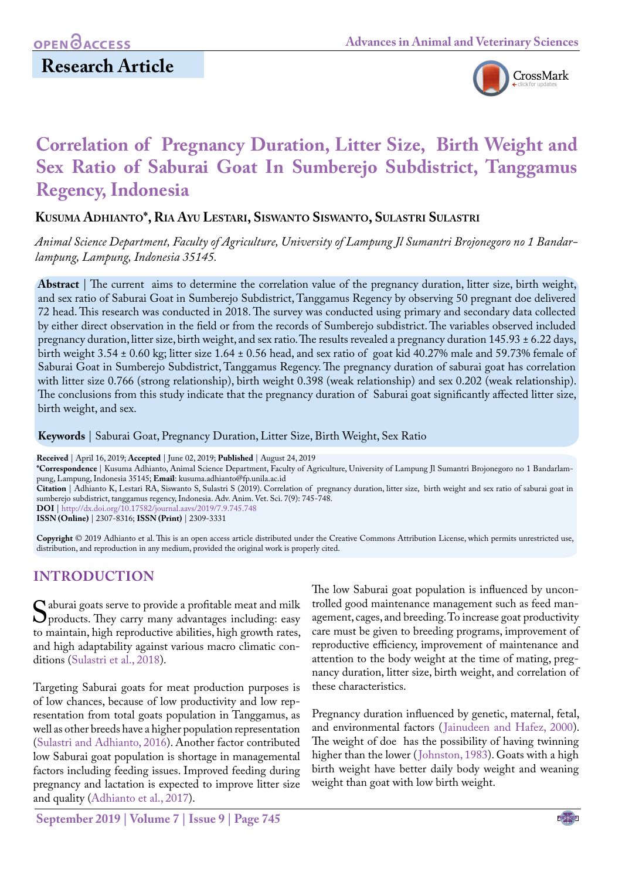# **Research Article**



# **Correlation of Pregnancy Duration, Litter Size, Birth Weight and Sex Ratio of Saburai Goat In Sumberejo Subdistrict, Tanggamus Regency, Indonesia**

### **Kusuma Adhianto\*, Ria Ayu Lestari, Siswanto Siswanto, Sulastri Sulastri**

*Animal Science Department, Faculty of Agriculture, University of Lampung Jl Sumantri Brojonegoro no 1 Bandarlampung, Lampung, Indonesia 35145.*

**Abstract** | The current aims to determine the correlation value of the pregnancy duration, litter size, birth weight, and sex ratio of Saburai Goat in Sumberejo Subdistrict, Tanggamus Regency by observing 50 pregnant doe delivered 72 head. This research was conducted in 2018. The survey was conducted using primary and secondary data collected by either direct observation in the field or from the records of Sumberejo subdistrict. The variables observed included pregnancy duration, litter size, birth weight, and sex ratio. The results revealed a pregnancy duration 145.93 ± 6.22 days, birth weight 3.54 ± 0.60 kg; litter size 1.64 ± 0.56 head, and sex ratio of goat kid 40.27% male and 59.73% female of Saburai Goat in Sumberejo Subdistrict, Tanggamus Regency. The pregnancy duration of saburai goat has correlation with litter size 0.766 (strong relationship), birth weight 0.398 (weak relationship) and sex 0.202 (weak relationship). The conclusions from this study indicate that the pregnancy duration of Saburai goat significantly affected litter size, birth weight, and sex.

**Keywords** | Saburai Goat, Pregnancy Duration, Litter Size, Birth Weight, Sex Ratio

**Received** | April 16, 2019; **Accepted** | June 02, 2019; **Published** | August 24, 2019

**\*Correspondence** | Kusuma Adhianto, Animal Science Department, Faculty of Agriculture, University of Lampung Jl Sumantri Brojonegoro no 1 Bandarlampung, Lampung, Indonesia 35145; **Email**: kusuma.adhianto@fp.unila.ac.id

**Citation** | Adhianto K, Lestari RA, Siswanto S, Sulastri S (2019). Correlation of pregnancy duration, litter size, birth weight and sex ratio of saburai goat in sumberejo subdistrict, tanggamus regency, Indonesia. Adv. Anim. Vet. Sci. 7(9): 745-748.

**DOI** | [http://dx.doi.org/10.17582/journal.aavs/2019](http://dx.doi.org/10.17582/journal.aavs/2019/7.9.745.748)/7.9.745.748

**ISSN (Online)** | 2307-8316; **ISSN (Print)** | 2309-3331

**Copyright** © 2019 Adhianto et al. This is an open access article distributed under the Creative Commons Attribution License, which permits unrestricted use, distribution, and reproduction in any medium, provided the original work is properly cited.

## **INTRODUCTION**

Saburai goats serve to provide a profitable meat and milk<br>products. They carry many advantages including: easy<br>to maintain, high reproductive abilities, high growth rates. to maintain, high reproductive abilities, high growth rates, and high adaptability against various macro climatic conditions ([Sulastri et al., 201](#page-3-0)8).

Targeting Saburai goats for meat production purposes is of low chances, because of low productivity and low representation from total goats population in Tanggamus, as well as other breeds have a higher population representation [\(Sulastri and Adhianto, 2016\)](#page-3-1). Another factor contributed low Saburai goat population is shortage in managemental factors including feeding issues. Improved feeding during pregnancy and lactation is expected to improve litter size and quality [\(Adhianto et al., 2017\)](#page-2-0).

The low Saburai goat population is influenced by uncontrolled good maintenance management such as feed management, cages, and breeding. To increase goat productivity care must be given to breeding programs, improvement of reproductive efficiency, improvement of maintenance and attention to the body weight at the time of mating, pregnancy duration, litter size, birth weight, and correlation of these characteristics.

Pregnancy duration influenced by genetic, maternal, fetal, and environmental factors ([Jainudeen and Hafez, 2000\)](#page-3-2). The weight of doe has the possibility of having twinning higher than the lower ([Johnston, 1983\)](#page-3-3). Goats with a high birth weight have better daily body weight and weaning weight than goat with low birth weight.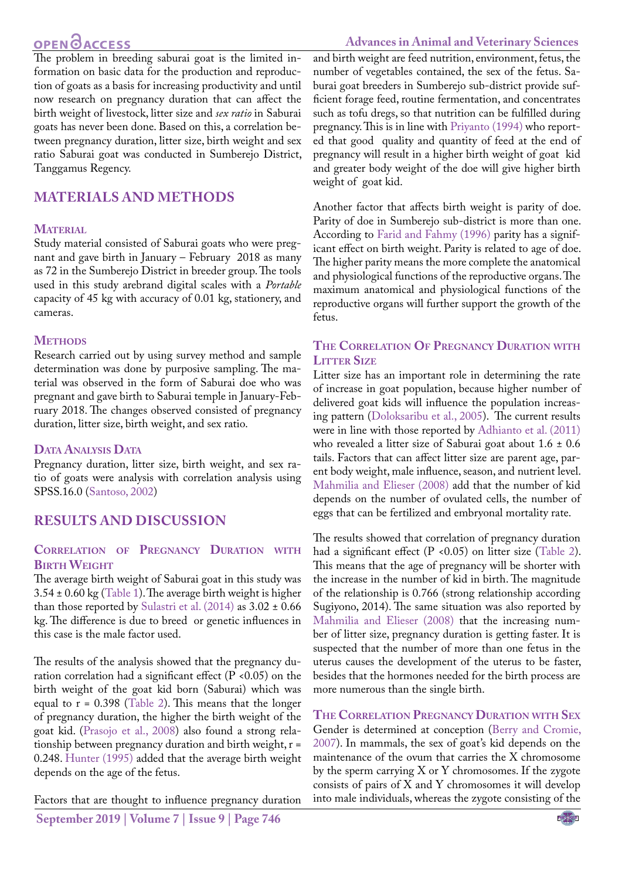## **OPEN**OACCESS

**Advances in Animal and Veterinary Sciences**

The problem in breeding saburai goat is the limited information on basic data for the production and reproduction of goats as a basis for increasing productivity and until now research on pregnancy duration that can affect the birth weight of livestock, litter size and *sex ratio* in Saburai goats has never been done. Based on this, a correlation between pregnancy duration, litter size, birth weight and sex ratio Saburai goat was conducted in Sumberejo District, Tanggamus Regency.

### **MATERIALS AND METHODS**

#### **MATERIAL**

Study material consisted of Saburai goats who were pregnant and gave birth in January – February 2018 as many as 72 in the Sumberejo District in breeder group. The tools used in this study arebrand digital scales with a *Portable* capacity of 45 kg with accuracy of 0.01 kg, stationery, and cameras.

#### **METHODS**

Research carried out by using survey method and sample determination was done by purposive sampling. The material was observed in the form of Saburai doe who was pregnant and gave birth to Saburai temple in January-February 2018. The changes observed consisted of pregnancy duration, litter size, birth weight, and sex ratio.

#### **Data Analysis Data**

Pregnancy duration, litter size, birth weight, and sex ratio of goats were analysis with correlation analysis using SPSS.16.0 [\(Santoso, 2002](#page-3-4))

### **RESULTS AND DISCUSSION**

#### **Correlation of Pregnancy Duration with Birth Weight**

The average birth weight of Saburai goat in this study was 3.54 ± 0.60 kg ([Table 1\)](#page-2-1). The average birth weight is higher than those reported by Sulastri et al.  $(2014)$  as  $3.02 \pm 0.66$ kg. The difference is due to breed or genetic influences in this case is the male factor used.

The results of the analysis showed that the pregnancy duration correlation had a significant effect ( $P \le 0.05$ ) on the birth weight of the goat kid born (Saburai) which was equal to  $r = 0.398$  ([Table 2\)](#page-2-2). This means that the longer of pregnancy duration, the higher the birth weight of the goat kid. ([Prasojo et al., 2008\)](#page-3-6) also found a strong relationship between pregnancy duration and birth weight, r = 0.248. [Hunter \(1995\) a](#page-3-7)dded that the average birth weight depends on the age of the fetus.

Factors that are thought to influence pregnancy duration

**September 2019 | Volume 7 | Issue 9 | Page 746**

and birth weight are feed nutrition, environment, fetus, the number of vegetables contained, the sex of the fetus. Saburai goat breeders in Sumberejo sub-district provide sufficient forage feed, routine fermentation, and concentrates such as tofu dregs, so that nutrition can be fulfilled during pregnancy. This is in line with [Priyanto \(1994\)](#page-3-8) who reported that good quality and quantity of feed at the end of pregnancy will result in a higher birth weight of goat kid and greater body weight of the doe will give higher birth weight of goat kid.

Another factor that affects birth weight is parity of doe. Parity of doe in Sumberejo sub-district is more than one. According to [Farid and Fahmy \(1996\)](#page-2-3) parity has a significant effect on birth weight. Parity is related to age of doe. The higher parity means the more complete the anatomical and physiological functions of the reproductive organs. The maximum anatomical and physiological functions of the reproductive organs will further support the growth of the fetus.

#### **The Correlation Of Pregnancy Duration with Litter Size**

Litter size has an important role in determining the rate of increase in goat population, because higher number of delivered goat kids will influence the population increasing pattern [\(Doloksaribu et al., 2005\)](#page-2-4). The current results were in line with those reported by [Adhianto et al. \(2011\)](#page-2-0) who revealed a litter size of Saburai goat about 1.6 ± 0.6 tails. Factors that can affect litter size are parent age, parent body weight, male influence, season, and nutrient level. [Mahmilia and Elieser \(2008\)](#page-3-9) add that the number of kid depends on the number of ovulated cells, the number of eggs that can be fertilized and embryonal mortality rate.

The results showed that correlation of pregnancy duration had a significant effect (P <0.05) on litter size [\(Table 2](#page-2-2)). This means that the age of pregnancy will be shorter with the increase in the number of kid in birth. The magnitude of the relationship is 0.766 (strong relationship according Sugiyono, 2014). The same situation was also reported by [Mahmilia and Elieser \(2008\)](#page-3-9) that the increasing number of litter size, pregnancy duration is getting faster. It is suspected that the number of more than one fetus in the uterus causes the development of the uterus to be faster, besides that the hormones needed for the birth process are more numerous than the single birth.

**The Correlation Pregnancy Duration with Sex** Gender is determined at conception [\(Berry and Cromie,](#page-2-5)  [2007\)](#page-2-5). In mammals, the sex of goat's kid depends on the maintenance of the ovum that carries the X chromosome by the sperm carrying X or Y chromosomes. If the zygote consists of pairs of X and Y chromosomes it will develop into male individuals, whereas the zygote consisting of the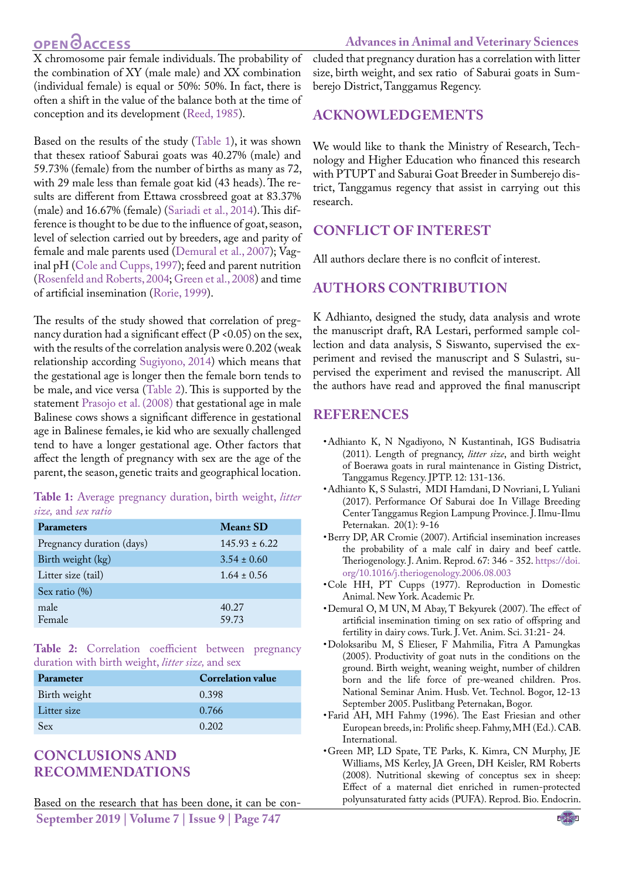## OPEN **OACCESS**

X chromosome pair female individuals. The probability of the combination of XY (male male) and XX combination (individual female) is equal or 50%: 50%. In fact, there is often a shift in the value of the balance both at the time of conception and its development ([Reed, 1985](#page-3-10)).

Based on the results of the study [\(Table 1\)](#page-2-1), it was shown that thesex ratioof Saburai goats was 40.27% (male) and 59.73% (female) from the number of births as many as 72, with 29 male less than female goat kid (43 heads). The results are different from Ettawa crossbreed goat at 83.37% (male) and 16.67% (female) ([Sariadi et al., 2014](#page-3-11)). This difference is thought to be due to the influence of goat, season, level of selection carried out by breeders, age and parity of female and male parents used [\(Demural et al., 2007](#page-2-6)); Vaginal pH [\(Cole and Cupps, 1997](#page-2-7)); feed and parent nutrition ([Rosenfeld and Roberts, 2004](#page-3-12)[; Green et al., 2008\)](#page-2-8) and time of artificial insemination ([Rorie, 1999](#page-3-13)).

The results of the study showed that correlation of pregnancy duration had a significant effect ( $P$  <0.05) on the sex, with the results of the correlation analysis were 0.202 (weak relationship according [Sugiyono, 2014](#page-3-14)) which means that the gestational age is longer then the female born tends to be male, and vice versa ([Table 2](#page-2-2)). This is supported by the statement [Prasojo et al. \(2008\)](#page-3-6) that gestational age in male Balinese cows shows a significant difference in gestational age in Balinese females, ie kid who are sexually challenged tend to have a longer gestational age. Other factors that affect the length of pregnancy with sex are the age of the parent, the season, genetic traits and geographical location.

<span id="page-2-1"></span>**Table 1:** Average pregnancy duration, birth weight, *litter size,* and *sex ratio*

| <b>Parameters</b>         | Mean <sup>+</sup> SD |
|---------------------------|----------------------|
| Pregnancy duration (days) | $145.93 \pm 6.22$    |
| Birth weight (kg)         | $3.54 \pm 0.60$      |
| Litter size (tail)        | $1.64 \pm 0.56$      |
| Sex ratio $(\%)$          |                      |
| male                      | 40.27                |
| Female                    | 59.73                |

<span id="page-2-2"></span>**Table 2:** Correlation coefficient between pregnancy duration with birth weight, *litter size,* and sex

| Parameter    | <b>Correlation value</b> |
|--------------|--------------------------|
| Birth weight | 0.398                    |
| Litter size  | 0.766                    |
| <b>Sex</b>   | 0.202                    |

## **Conclusions and Recommendations**

**September 2019 | Volume 7 | Issue 9 | Page 747** Based on the research that has been done, it can be concluded that pregnancy duration has a correlation with litter size, birth weight, and sex ratio of Saburai goats in Sumberejo District, Tanggamus Regency.

## **Acknowledgements**

We would like to thank the Ministry of Research, Technology and Higher Education who financed this research with PTUPT and Saburai Goat Breeder in Sumberejo district, Tanggamus regency that assist in carrying out this research.

## **Conflict of interest**

All authors declare there is no conflcit of interest.

## **Authors Contribution**

K Adhianto, designed the study, data analysis and wrote the manuscript draft, RA Lestari, performed sample collection and data analysis, S Siswanto, supervised the experiment and revised the manuscript and S Sulastri, supervised the experiment and revised the manuscript. All the authors have read and approved the final manuscript

### **REFERENCES**

- <span id="page-2-0"></span>• Adhianto K, N Ngadiyono, N Kustantinah, IGS Budisatria (2011). Length of pregnancy, *litter size*, and birth weight of Boerawa goats in rural maintenance in Gisting District, Tanggamus Regency. JPTP. 12: 131-136.
- • Adhianto K, S Sulastri, MDI Hamdani, D Novriani, L Yuliani (2017). Performance Of Saburai doe In Village Breeding Center Tanggamus Region Lampung Province. J. Ilmu-Ilmu Peternakan. 20(1): 9-16
- <span id="page-2-5"></span>• Berry DP, AR Cromie (2007). Artificial insemination increases the probability of a male calf in dairy and beef cattle. Theriogenology. J. Anim. Reprod. 67: 346 - 352. [https://doi.](https://doi.org/10.1016/j.theriogenology.2006.08.003 ) [org/10.1016/j.theriogenology.2006.08.003](https://doi.org/10.1016/j.theriogenology.2006.08.003 )
- <span id="page-2-7"></span>• Cole HH, PT Cupps (1977). Reproduction in Domestic Animal. New York. Academic Pr.
- <span id="page-2-6"></span>• Demural O, M UN, M Abay, T Bekyurek (2007). The effect of artificial insemination timing on sex ratio of offspring and fertility in dairy cows. Turk. J. Vet. Anim. Sci. 31:21- 24.
- <span id="page-2-4"></span>• Doloksaribu M, S Elieser, F Mahmilia, Fitra A Pamungkas (2005). Productivity of goat nuts in the conditions on the ground. Birth weight, weaning weight, number of children born and the life force of pre-weaned children. Pros. National Seminar Anim. Husb. Vet. Technol. Bogor, 12-13 September 2005. Puslitbang Peternakan, Bogor.
- <span id="page-2-3"></span>• Farid AH, MH Fahmy (1996). The East Friesian and other European breeds, in: Prolific sheep. Fahmy, MH (Ed.). CAB. International.
- <span id="page-2-8"></span>• Green MP, LD Spate, TE Parks, K. Kimra, CN Murphy, JE Williams, MS Kerley, JA Green, DH Keisler, RM Roberts (2008). Nutritional skewing of conceptus sex in sheep: Effect of a maternal diet enriched in rumen-protected polyunsaturated fatty acids (PUFA). Reprod. Bio. Endocrin.